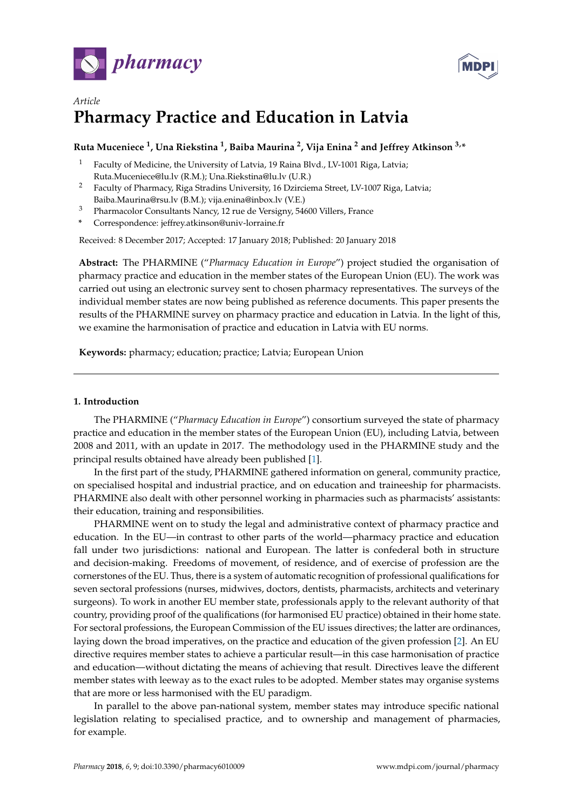



# *Article* **Pharmacy Practice and Education in Latvia**

# **Ruta Muceniece <sup>1</sup> , Una Riekstina <sup>1</sup> , Baiba Maurina <sup>2</sup> , Vija Enina <sup>2</sup> and Jeffrey Atkinson 3,\***

- <sup>1</sup> Faculty of Medicine, the University of Latvia, 19 Raina Blvd., LV-1001 Riga, Latvia;
- Ruta.Muceniece@lu.lv (R.M.); Una.Riekstina@lu.lv (U.R.)
- <sup>2</sup> Faculty of Pharmacy, Riga Stradins University, 16 Dzirciema Street, LV-1007 Riga, Latvia; Baiba.Maurina@rsu.lv (B.M.); vija.enina@inbox.lv (V.E.)
- <sup>3</sup> Pharmacolor Consultants Nancy, 12 rue de Versigny, 54600 Villers, France
- **\*** Correspondence: jeffrey.atkinson@univ-lorraine.fr

Received: 8 December 2017; Accepted: 17 January 2018; Published: 20 January 2018

**Abstract:** The PHARMINE ("*Pharmacy Education in Europe*") project studied the organisation of pharmacy practice and education in the member states of the European Union (EU). The work was carried out using an electronic survey sent to chosen pharmacy representatives. The surveys of the individual member states are now being published as reference documents. This paper presents the results of the PHARMINE survey on pharmacy practice and education in Latvia. In the light of this, we examine the harmonisation of practice and education in Latvia with EU norms.

**Keywords:** pharmacy; education; practice; Latvia; European Union

# **1. Introduction**

The PHARMINE ("*Pharmacy Education in Europe*") consortium surveyed the state of pharmacy practice and education in the member states of the European Union (EU), including Latvia, between 2008 and 2011, with an update in 2017. The methodology used in the PHARMINE study and the principal results obtained have already been published [\[1\]](#page-16-0).

In the first part of the study, PHARMINE gathered information on general, community practice, on specialised hospital and industrial practice, and on education and traineeship for pharmacists. PHARMINE also dealt with other personnel working in pharmacies such as pharmacists' assistants: their education, training and responsibilities.

PHARMINE went on to study the legal and administrative context of pharmacy practice and education. In the EU—in contrast to other parts of the world—pharmacy practice and education fall under two jurisdictions: national and European. The latter is confederal both in structure and decision-making. Freedoms of movement, of residence, and of exercise of profession are the cornerstones of the EU. Thus, there is a system of automatic recognition of professional qualifications for seven sectoral professions (nurses, midwives, doctors, dentists, pharmacists, architects and veterinary surgeons). To work in another EU member state, professionals apply to the relevant authority of that country, providing proof of the qualifications (for harmonised EU practice) obtained in their home state. For sectoral professions, the European Commission of the EU issues directives; the latter are ordinances, laying down the broad imperatives, on the practice and education of the given profession [\[2\]](#page-16-1). An EU directive requires member states to achieve a particular result—in this case harmonisation of practice and education—without dictating the means of achieving that result. Directives leave the different member states with leeway as to the exact rules to be adopted. Member states may organise systems that are more or less harmonised with the EU paradigm.

In parallel to the above pan-national system, member states may introduce specific national legislation relating to specialised practice, and to ownership and management of pharmacies, for example.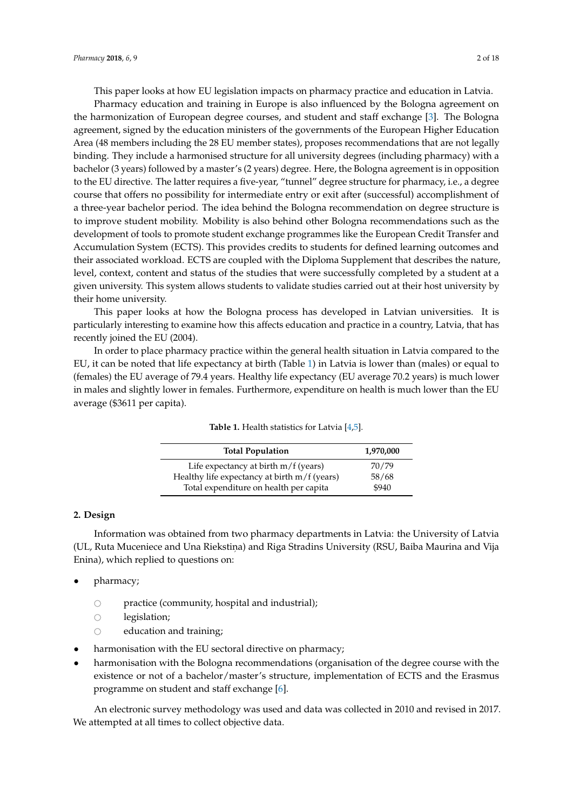This paper looks at how EU legislation impacts on pharmacy practice and education in Latvia.

Pharmacy education and training in Europe is also influenced by the Bologna agreement on the harmonization of European degree courses, and student and staff exchange [\[3\]](#page-16-2). The Bologna agreement, signed by the education ministers of the governments of the European Higher Education Area (48 members including the 28 EU member states), proposes recommendations that are not legally binding. They include a harmonised structure for all university degrees (including pharmacy) with a bachelor (3 years) followed by a master's (2 years) degree. Here, the Bologna agreement is in opposition to the EU directive. The latter requires a five-year, "tunnel" degree structure for pharmacy, i.e., a degree course that offers no possibility for intermediate entry or exit after (successful) accomplishment of a three-year bachelor period. The idea behind the Bologna recommendation on degree structure is to improve student mobility. Mobility is also behind other Bologna recommendations such as the development of tools to promote student exchange programmes like the European Credit Transfer and Accumulation System (ECTS). This provides credits to students for defined learning outcomes and their associated workload. ECTS are coupled with the Diploma Supplement that describes the nature, level, context, content and status of the studies that were successfully completed by a student at a given university. This system allows students to validate studies carried out at their host university by their home university.

This paper looks at how the Bologna process has developed in Latvian universities. It is particularly interesting to examine how this affects education and practice in a country, Latvia, that has recently joined the EU (2004).

<span id="page-1-0"></span>In order to place pharmacy practice within the general health situation in Latvia compared to the EU, it can be noted that life expectancy at birth (Table [1\)](#page-1-0) in Latvia is lower than (males) or equal to (females) the EU average of 79.4 years. Healthy life expectancy (EU average 70.2 years) is much lower in males and slightly lower in females. Furthermore, expenditure on health is much lower than the EU average (\$3611 per capita).

| <b>Total Population</b>                      | 1,970,000 |
|----------------------------------------------|-----------|
| Life expectancy at birth $m/f$ (years)       | 70/79     |
| Healthy life expectancy at birth m/f (years) | 58/68     |
| Total expenditure on health per capita       | \$940     |

## **Table 1.** Health statistics for Latvia [\[4](#page-16-3)[,5\]](#page-16-4).

#### **2. Design**

Information was obtained from two pharmacy departments in Latvia: the University of Latvia (UL, Ruta Muceniece and Una Riekstina) and Riga Stradins University (RSU, Baiba Maurina and Vija Enina), which replied to questions on:

- pharmacy;
	- $\circ$  practice (community, hospital and industrial);
	- $\circ$  legislation;<br> $\circ$  education a
	- education and training;
- harmonisation with the EU sectoral directive on pharmacy;
- harmonisation with the Bologna recommendations (organisation of the degree course with the existence or not of a bachelor/master's structure, implementation of ECTS and the Erasmus programme on student and staff exchange [\[6\]](#page-16-5).

An electronic survey methodology was used and data was collected in 2010 and revised in 2017. We attempted at all times to collect objective data.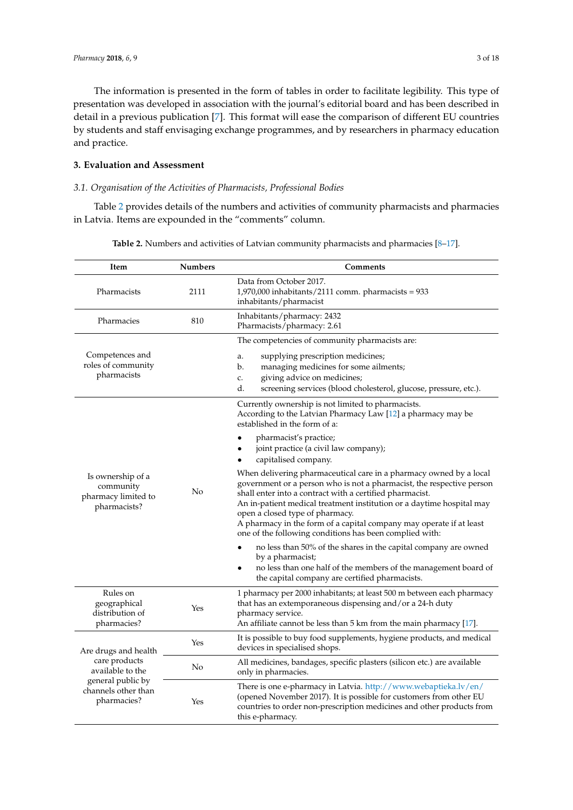The information is presented in the form of tables in order to facilitate legibility. This type of presentation was developed in association with the journal's editorial board and has been described in detail in a previous publication [\[7\]](#page-16-6). This format will ease the comparison of different EU countries by students and staff envisaging exchange programmes, and by researchers in pharmacy education and practice.

# **3. Evaluation and Assessment**

## *3.1. Organisation of the Activities of Pharmacists, Professional Bodies*

<span id="page-2-0"></span>Table [2](#page-2-0) provides details of the numbers and activities of community pharmacists and pharmacies in Latvia. Items are expounded in the "comments" column.

| Item                                                                                                                 | <b>Numbers</b> | Comments                                                                                                                                                                                                                                                                                                                                                                                                                                              |
|----------------------------------------------------------------------------------------------------------------------|----------------|-------------------------------------------------------------------------------------------------------------------------------------------------------------------------------------------------------------------------------------------------------------------------------------------------------------------------------------------------------------------------------------------------------------------------------------------------------|
| Pharmacists                                                                                                          | 2111           | Data from October 2017.<br>$1,970,000$ inhabitants/2111 comm. pharmacists = $933$<br>inhabitants/pharmacist                                                                                                                                                                                                                                                                                                                                           |
| Pharmacies                                                                                                           | 810            | Inhabitants/pharmacy: 2432<br>Pharmacists/pharmacy: 2.61                                                                                                                                                                                                                                                                                                                                                                                              |
|                                                                                                                      |                | The competencies of community pharmacists are:                                                                                                                                                                                                                                                                                                                                                                                                        |
| Competences and<br>roles of community<br>pharmacists                                                                 |                | supplying prescription medicines;<br>a.<br>managing medicines for some ailments;<br>b.<br>giving advice on medicines;<br>c.<br>d.<br>screening services (blood cholesterol, glucose, pressure, etc.).                                                                                                                                                                                                                                                 |
| Is ownership of a<br>community<br>pharmacy limited to<br>pharmacists?                                                |                | Currently ownership is not limited to pharmacists.<br>According to the Latvian Pharmacy Law [12] a pharmacy may be<br>established in the form of a:                                                                                                                                                                                                                                                                                                   |
|                                                                                                                      | No             | pharmacist's practice;<br>joint practice (a civil law company);<br>capitalised company.                                                                                                                                                                                                                                                                                                                                                               |
|                                                                                                                      |                | When delivering pharmaceutical care in a pharmacy owned by a local<br>government or a person who is not a pharmacist, the respective person<br>shall enter into a contract with a certified pharmacist.<br>An in-patient medical treatment institution or a daytime hospital may<br>open a closed type of pharmacy.<br>A pharmacy in the form of a capital company may operate if at least<br>one of the following conditions has been complied with: |
|                                                                                                                      |                | no less than 50% of the shares in the capital company are owned<br>by a pharmacist;<br>no less than one half of the members of the management board of<br>the capital company are certified pharmacists.                                                                                                                                                                                                                                              |
| Rules on<br>geographical<br>distribution of<br>pharmacies?                                                           | Yes            | 1 pharmacy per 2000 inhabitants; at least 500 m between each pharmacy<br>that has an extemporaneous dispensing and/or a 24-h duty<br>pharmacy service.<br>An affiliate cannot be less than 5 km from the main pharmacy [17].                                                                                                                                                                                                                          |
| Are drugs and health<br>care products<br>available to the<br>general public by<br>channels other than<br>pharmacies? | Yes            | It is possible to buy food supplements, hygiene products, and medical<br>devices in specialised shops.                                                                                                                                                                                                                                                                                                                                                |
|                                                                                                                      | No             | All medicines, bandages, specific plasters (silicon etc.) are available<br>only in pharmacies.                                                                                                                                                                                                                                                                                                                                                        |
|                                                                                                                      | Yes            | There is one e-pharmacy in Latvia. http://www.webaptieka.lv/en/<br>(opened November 2017). It is possible for customers from other EU<br>countries to order non-prescription medicines and other products from<br>this e-pharmacy.                                                                                                                                                                                                                    |

| Table 2. Numbers and activities of Latvian community pharmacists and pharmacies $[8-17]$ . |
|--------------------------------------------------------------------------------------------|
|--------------------------------------------------------------------------------------------|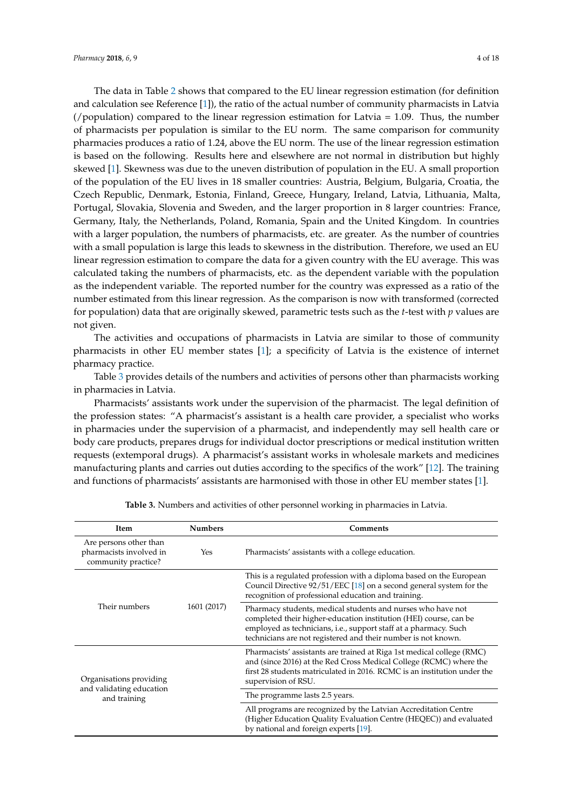The data in Table [2](#page-2-0) shows that compared to the EU linear regression estimation (for definition and calculation see Reference [\[1\]](#page-16-0)), the ratio of the actual number of community pharmacists in Latvia (/population) compared to the linear regression estimation for Latvia = 1.09. Thus, the number of pharmacists per population is similar to the EU norm. The same comparison for community pharmacies produces a ratio of 1.24, above the EU norm. The use of the linear regression estimation is based on the following. Results here and elsewhere are not normal in distribution but highly skewed [\[1\]](#page-16-0). Skewness was due to the uneven distribution of population in the EU. A small proportion of the population of the EU lives in 18 smaller countries: Austria, Belgium, Bulgaria, Croatia, the Czech Republic, Denmark, Estonia, Finland, Greece, Hungary, Ireland, Latvia, Lithuania, Malta, Portugal, Slovakia, Slovenia and Sweden, and the larger proportion in 8 larger countries: France, Germany, Italy, the Netherlands, Poland, Romania, Spain and the United Kingdom. In countries with a larger population, the numbers of pharmacists, etc. are greater. As the number of countries with a small population is large this leads to skewness in the distribution. Therefore, we used an EU linear regression estimation to compare the data for a given country with the EU average. This was calculated taking the numbers of pharmacists, etc. as the dependent variable with the population as the independent variable. The reported number for the country was expressed as a ratio of the number estimated from this linear regression. As the comparison is now with transformed (corrected for population) data that are originally skewed, parametric tests such as the *t*-test with *p* values are not given.

The activities and occupations of pharmacists in Latvia are similar to those of community pharmacists in other EU member states [\[1\]](#page-16-0); a specificity of Latvia is the existence of internet pharmacy practice.

Table [3](#page-4-0) provides details of the numbers and activities of persons other than pharmacists working in pharmacies in Latvia.

Pharmacists' assistants work under the supervision of the pharmacist. The legal definition of the profession states: "A pharmacist's assistant is a health care provider, a specialist who works in pharmacies under the supervision of a pharmacist, and independently may sell health care or body care products, prepares drugs for individual doctor prescriptions or medical institution written requests (extemporal drugs). A pharmacist's assistant works in wholesale markets and medicines manufacturing plants and carries out duties according to the specifics of the work" [\[12\]](#page-16-9). The training and functions of pharmacists' assistants are harmonised with those in other EU member states [\[1\]](#page-16-0).

| Item                                                                     | <b>Numbers</b> | <b>Comments</b>                                                                                                                                                                                                                                                       |
|--------------------------------------------------------------------------|----------------|-----------------------------------------------------------------------------------------------------------------------------------------------------------------------------------------------------------------------------------------------------------------------|
| Are persons other than<br>pharmacists involved in<br>community practice? | Yes            | Pharmacists' assistants with a college education.                                                                                                                                                                                                                     |
|                                                                          | 1601 (2017)    | This is a regulated profession with a diploma based on the European<br>Council Directive 92/51/EEC [18] on a second general system for the<br>recognition of professional education and training.                                                                     |
| Their numbers                                                            |                | Pharmacy students, medical students and nurses who have not<br>completed their higher-education institution (HEI) course, can be<br>employed as technicians, i.e., support staff at a pharmacy. Such<br>technicians are not registered and their number is not known. |
| Organisations providing                                                  |                | Pharmacists' assistants are trained at Riga 1st medical college (RMC)<br>and (since 2016) at the Red Cross Medical College (RCMC) where the<br>first 28 students matriculated in 2016. RCMC is an institution under the<br>supervision of RSU.                        |
| and validating education<br>and training                                 |                | The programme lasts 2.5 years.                                                                                                                                                                                                                                        |
|                                                                          |                | All programs are recognized by the Latvian Accreditation Centre<br>(Higher Education Quality Evaluation Centre (HEQEC)) and evaluated<br>by national and foreign experts [19].                                                                                        |

**Table 3.** Numbers and activities of other personnel working in pharmacies in Latvia.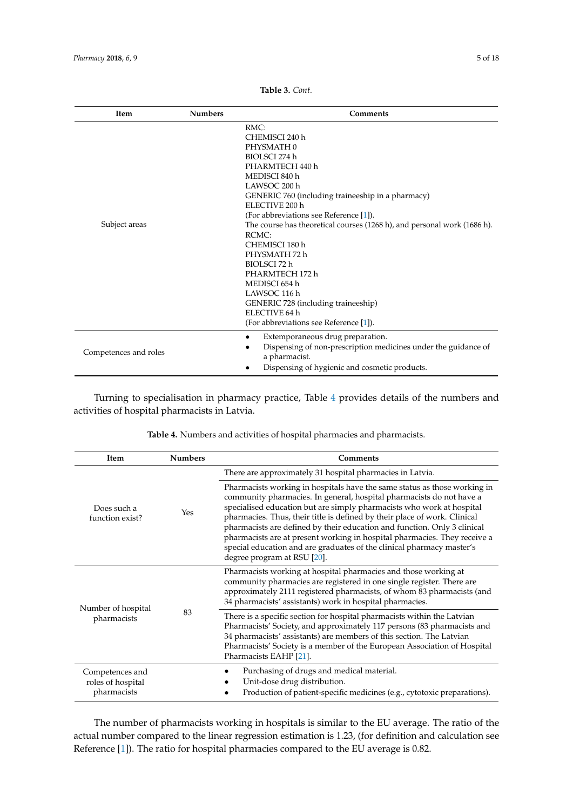<span id="page-4-0"></span>

| <b>Item</b>           | <b>Numbers</b> | Comments                                                                                                                                                                                                                                                                                                                                                                                                                                                                                                                 |
|-----------------------|----------------|--------------------------------------------------------------------------------------------------------------------------------------------------------------------------------------------------------------------------------------------------------------------------------------------------------------------------------------------------------------------------------------------------------------------------------------------------------------------------------------------------------------------------|
| Subject areas         |                | RMC:<br>CHEMISCI 240 h<br>PHYSMATH 0<br>BIOLSCI 274 h<br>PHARMTECH 440 h<br>MEDISCI 840 h<br>LAWSOC 200 h<br>GENERIC 760 (including traineeship in a pharmacy)<br>ELECTIVE 200 h<br>(For abbreviations see Reference [1]).<br>The course has theoretical courses (1268 h), and personal work (1686 h).<br>RCMC:<br>CHEMISCI 180 h<br>PHYSMATH 72 h<br>BIOLSCI 72 h<br>PHARMTECH 172 h<br>MEDISCI 654 h<br>LAWSOC 116 h<br>GENERIC 728 (including traineeship)<br>ELECTIVE 64 h<br>(For abbreviations see Reference [1]). |
| Competences and roles |                | Extemporaneous drug preparation.<br>$\bullet$<br>Dispensing of non-prescription medicines under the guidance of<br>a pharmacist.<br>Dispensing of hygienic and cosmetic products.                                                                                                                                                                                                                                                                                                                                        |

**Table 3.** *Cont.*

Turning to specialisation in pharmacy practice, Table [4](#page-4-1) provides details of the numbers and activities of hospital pharmacists in Latvia.

<span id="page-4-1"></span>

| Item                                                | <b>Numbers</b> | Comments                                                                                                                                                                                                                                                                                                                                                                                                                                                                                                                                                                 |
|-----------------------------------------------------|----------------|--------------------------------------------------------------------------------------------------------------------------------------------------------------------------------------------------------------------------------------------------------------------------------------------------------------------------------------------------------------------------------------------------------------------------------------------------------------------------------------------------------------------------------------------------------------------------|
|                                                     |                | There are approximately 31 hospital pharmacies in Latvia.                                                                                                                                                                                                                                                                                                                                                                                                                                                                                                                |
| Does such a<br>function exist?                      | Yes            | Pharmacists working in hospitals have the same status as those working in<br>community pharmacies. In general, hospital pharmacists do not have a<br>specialised education but are simply pharmacists who work at hospital<br>pharmacies. Thus, their title is defined by their place of work. Clinical<br>pharmacists are defined by their education and function. Only 3 clinical<br>pharmacists are at present working in hospital pharmacies. They receive a<br>special education and are graduates of the clinical pharmacy master's<br>degree program at RSU [20]. |
| Number of hospital<br>pharmacists                   | 83             | Pharmacists working at hospital pharmacies and those working at<br>community pharmacies are registered in one single register. There are<br>approximately 2111 registered pharmacists, of whom 83 pharmacists (and<br>34 pharmacists' assistants) work in hospital pharmacies.                                                                                                                                                                                                                                                                                           |
|                                                     |                | There is a specific section for hospital pharmacists within the Latvian<br>Pharmacists' Society, and approximately 117 persons (83 pharmacists and<br>34 pharmacists' assistants) are members of this section. The Latvian<br>Pharmacists' Society is a member of the European Association of Hospital<br>Pharmacists EAHP [21].                                                                                                                                                                                                                                         |
| Competences and<br>roles of hospital<br>pharmacists |                | Purchasing of drugs and medical material.<br>Unit-dose drug distribution.<br>Production of patient-specific medicines (e.g., cytotoxic preparations).                                                                                                                                                                                                                                                                                                                                                                                                                    |

**Table 4.** Numbers and activities of hospital pharmacies and pharmacists.

The number of pharmacists working in hospitals is similar to the EU average. The ratio of the actual number compared to the linear regression estimation is 1.23, (for definition and calculation see Reference [\[1\]](#page-16-0)). The ratio for hospital pharmacies compared to the EU average is 0.82.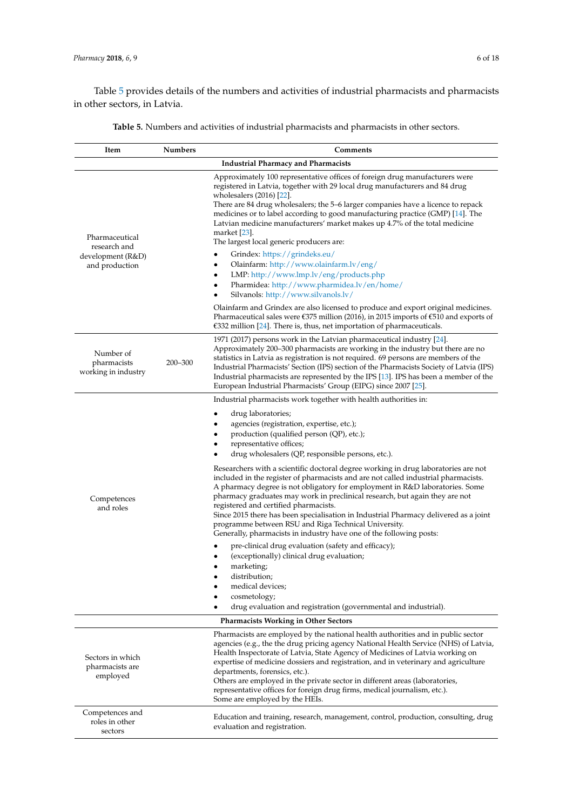Table [5](#page-5-0) provides details of the numbers and activities of industrial pharmacists and pharmacists in other sectors, in Latvia.

<span id="page-5-0"></span>

| Item                                                                  | Numbers | Comments                                                                                                                                                                                                                                                                                                                                                                                                                                                                                                                                                                                                                                                                                                                                                                                                                                                                                                                                                                                                                                                                                                              |
|-----------------------------------------------------------------------|---------|-----------------------------------------------------------------------------------------------------------------------------------------------------------------------------------------------------------------------------------------------------------------------------------------------------------------------------------------------------------------------------------------------------------------------------------------------------------------------------------------------------------------------------------------------------------------------------------------------------------------------------------------------------------------------------------------------------------------------------------------------------------------------------------------------------------------------------------------------------------------------------------------------------------------------------------------------------------------------------------------------------------------------------------------------------------------------------------------------------------------------|
|                                                                       |         | <b>Industrial Pharmacy and Pharmacists</b>                                                                                                                                                                                                                                                                                                                                                                                                                                                                                                                                                                                                                                                                                                                                                                                                                                                                                                                                                                                                                                                                            |
| Pharmaceutical<br>research and<br>development (R&D)<br>and production |         | Approximately 100 representative offices of foreign drug manufacturers were<br>registered in Latvia, together with 29 local drug manufacturers and 84 drug<br>wholesalers (2016) [22].<br>There are 84 drug wholesalers; the 5–6 larger companies have a licence to repack<br>medicines or to label according to good manufacturing practice (GMP) [14]. The<br>Latvian medicine manufacturers' market makes up 4.7% of the total medicine<br>market [23].<br>The largest local generic producers are:<br>Grindex: https://grindeks.eu/<br>Olainfarm: http://www.olainfarm.lv/eng/<br>LMP: http://www.lmp.lv/eng/products.php<br>Pharmidea: http://www.pharmidea.lv/en/home/<br>Silvanols: http://www.silvanols.lv/<br>Olainfarm and Grindex are also licensed to produce and export original medicines.<br>Pharmaceutical sales were $\epsilon$ 375 million (2016), in 2015 imports of $\epsilon$ 510 and exports of                                                                                                                                                                                                 |
| Number of<br>pharmacists<br>working in industry                       | 200-300 | €332 million [24]. There is, thus, net importation of pharmaceuticals.<br>1971 (2017) persons work in the Latvian pharmaceutical industry [24].<br>Approximately 200–300 pharmacists are working in the industry but there are no<br>statistics in Latvia as registration is not required. 69 persons are members of the<br>Industrial Pharmacists' Section (IPS) section of the Pharmacists Society of Latvia (IPS)<br>Industrial pharmacists are represented by the IPS [13]. IPS has been a member of the<br>European Industrial Pharmacists' Group (EIPG) since 2007 [25].                                                                                                                                                                                                                                                                                                                                                                                                                                                                                                                                        |
| Competences<br>and roles                                              |         | Industrial pharmacists work together with health authorities in:<br>drug laboratories;<br>agencies (registration, expertise, etc.);<br>production (qualified person (QP), etc.);<br>representative offices;<br>drug wholesalers (QP, responsible persons, etc.).<br>Researchers with a scientific doctoral degree working in drug laboratories are not<br>included in the register of pharmacists and are not called industrial pharmacists.<br>A pharmacy degree is not obligatory for employment in R&D laboratories. Some<br>pharmacy graduates may work in preclinical research, but again they are not<br>registered and certified pharmacists.<br>Since 2015 there has been specialisation in Industrial Pharmacy delivered as a joint<br>programme between RSU and Riga Technical University.<br>Generally, pharmacists in industry have one of the following posts:<br>pre-clinical drug evaluation (safety and efficacy);<br>(exceptionally) clinical drug evaluation;<br>marketing;<br>distribution;<br>medical devices;<br>cosmetology;<br>drug evaluation and registration (governmental and industrial). |
|                                                                       |         | <b>Pharmacists Working in Other Sectors</b>                                                                                                                                                                                                                                                                                                                                                                                                                                                                                                                                                                                                                                                                                                                                                                                                                                                                                                                                                                                                                                                                           |
| Sectors in which<br>pharmacists are<br>employed                       |         | Pharmacists are employed by the national health authorities and in public sector<br>agencies (e.g., the the drug pricing agency National Health Service (NHS) of Latvia,<br>Health Inspectorate of Latvia, State Agency of Medicines of Latvia working on<br>expertise of medicine dossiers and registration, and in veterinary and agriculture<br>departments, forensics, etc.).<br>Others are employed in the private sector in different areas (laboratories,<br>representative offices for foreign drug firms, medical journalism, etc.).<br>Some are employed by the HEIs.                                                                                                                                                                                                                                                                                                                                                                                                                                                                                                                                       |
| Competences and<br>roles in other<br>sectors                          |         | Education and training, research, management, control, production, consulting, drug<br>evaluation and registration.                                                                                                                                                                                                                                                                                                                                                                                                                                                                                                                                                                                                                                                                                                                                                                                                                                                                                                                                                                                                   |

**Table 5.** Numbers and activities of industrial pharmacists and pharmacists in other sectors.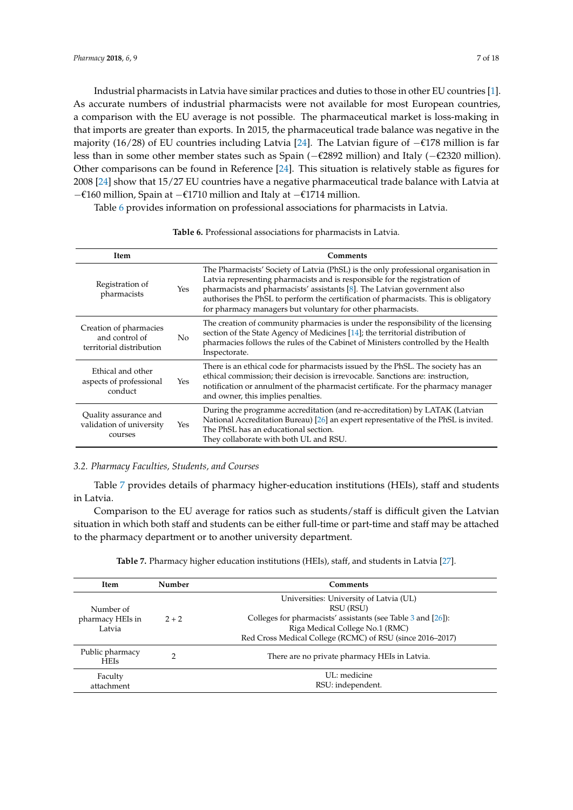Industrial pharmacists in Latvia have similar practices and duties to those in other EU countries [\[1\]](#page-16-0). As accurate numbers of industrial pharmacists were not available for most European countries, a comparison with the EU average is not possible. The pharmaceutical market is loss-making in that imports are greater than exports. In 2015, the pharmaceutical trade balance was negative in the majority (16/28) of EU countries including Latvia [\[24\]](#page-16-17). The Latvian figure of −€178 million is far less than in some other member states such as Spain (−€2892 million) and Italy (−€2320 million). Other comparisons can be found in Reference [\[24\]](#page-16-17). This situation is relatively stable as figures for 2008 [\[24\]](#page-16-17) show that 15/27 EU countries have a negative pharmaceutical trade balance with Latvia at −€160 million, Spain at −€1710 million and Italy at −€1714 million.

Table [6](#page-6-0) provides information on professional associations for pharmacists in Latvia.

<span id="page-6-0"></span>

| <b>Item</b>                                                          |     | Comments                                                                                                                                                                                                                                                                                                                                                                                          |
|----------------------------------------------------------------------|-----|---------------------------------------------------------------------------------------------------------------------------------------------------------------------------------------------------------------------------------------------------------------------------------------------------------------------------------------------------------------------------------------------------|
| Registration of<br>pharmacists                                       | Yes | The Pharmacists' Society of Latvia (PhSL) is the only professional organisation in<br>Latvia representing pharmacists and is responsible for the registration of<br>pharmacists and pharmacists' assistants [8]. The Latvian government also<br>authorises the PhSL to perform the certification of pharmacists. This is obligatory<br>for pharmacy managers but voluntary for other pharmacists. |
| Creation of pharmacies<br>and control of<br>territorial distribution | No  | The creation of community pharmacies is under the responsibility of the licensing<br>section of the State Agency of Medicines [14]; the territorial distribution of<br>pharmacies follows the rules of the Cabinet of Ministers controlled by the Health<br>Inspectorate.                                                                                                                         |
| Ethical and other<br>aspects of professional<br>conduct              | Yes | There is an ethical code for pharmacists issued by the PhSL. The society has an<br>ethical commission; their decision is irrevocable. Sanctions are: instruction,<br>notification or annulment of the pharmacist certificate. For the pharmacy manager<br>and owner, this implies penalties.                                                                                                      |
| Quality assurance and<br>validation of university<br>courses         | Yes | During the programme accreditation (and re-accreditation) by LATAK (Latvian<br>National Accreditation Bureau) [26] an expert representative of the PhSL is invited.<br>The PhSL has an educational section.<br>They collaborate with both UL and RSU.                                                                                                                                             |

### **Table 6.** Professional associations for pharmacists in Latvia.

#### *3.2. Pharmacy Faculties, Students, and Courses*

Table [7](#page-8-0) provides details of pharmacy higher-education institutions (HEIs), staff and students in Latvia.

Comparison to the EU average for ratios such as students/staff is difficult given the Latvian situation in which both staff and students can be either full-time or part-time and staff may be attached to the pharmacy department or to another university department.

|  |  | Table 7. Pharmacy higher education institutions (HEIs), staff, and students in Latvia [27]. |  |  |
|--|--|---------------------------------------------------------------------------------------------|--|--|
|--|--|---------------------------------------------------------------------------------------------|--|--|

| <b>Item</b>                             | Number  | Comments                                                                                                                                                                                                                |
|-----------------------------------------|---------|-------------------------------------------------------------------------------------------------------------------------------------------------------------------------------------------------------------------------|
| Number of<br>pharmacy HEIs in<br>Latvia | $2 + 2$ | Universities: University of Latvia (UL)<br>RSU (RSU)<br>Colleges for pharmacists' assistants (see Table 3 and $[26]$ ):<br>Riga Medical College No.1 (RMC)<br>Red Cross Medical College (RCMC) of RSU (since 2016–2017) |
| Public pharmacy<br><b>HEIs</b>          |         | There are no private pharmacy HEIs in Latvia.                                                                                                                                                                           |
| Faculty<br>attachment                   |         | UL: medicine<br>RSU: independent.                                                                                                                                                                                       |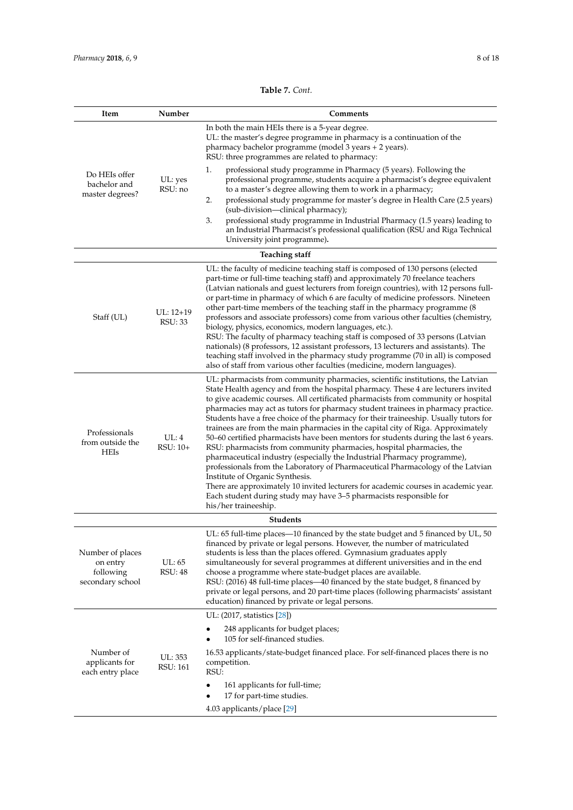| Table 7. Cont. |
|----------------|
|----------------|

| Item                                                          | Number                   | Comments                                                                                                                                                                                                                                                                                                                                                                                                                                                                                                                                                                                                                                                                                                                                                                                                                                                                                                                                                                                                                                                                        |
|---------------------------------------------------------------|--------------------------|---------------------------------------------------------------------------------------------------------------------------------------------------------------------------------------------------------------------------------------------------------------------------------------------------------------------------------------------------------------------------------------------------------------------------------------------------------------------------------------------------------------------------------------------------------------------------------------------------------------------------------------------------------------------------------------------------------------------------------------------------------------------------------------------------------------------------------------------------------------------------------------------------------------------------------------------------------------------------------------------------------------------------------------------------------------------------------|
| Do HEIs offer<br>bachelor and<br>master degrees?              |                          | In both the main HEIs there is a 5-year degree.<br>UL: the master's degree programme in pharmacy is a continuation of the<br>pharmacy bachelor programme (model 3 years + 2 years).<br>RSU: three programmes are related to pharmacy:                                                                                                                                                                                                                                                                                                                                                                                                                                                                                                                                                                                                                                                                                                                                                                                                                                           |
|                                                               | UL: yes<br>RSU: no       | 1.<br>professional study programme in Pharmacy (5 years). Following the<br>professional programme, students acquire a pharmacist's degree equivalent<br>to a master's degree allowing them to work in a pharmacy;<br>2.<br>professional study programme for master's degree in Health Care (2.5 years)<br>(sub-division-clinical pharmacy);<br>3.<br>professional study programme in Industrial Pharmacy (1.5 years) leading to<br>an Industrial Pharmacist's professional qualification (RSU and Riga Technical<br>University joint programme).                                                                                                                                                                                                                                                                                                                                                                                                                                                                                                                                |
|                                                               |                          | <b>Teaching staff</b>                                                                                                                                                                                                                                                                                                                                                                                                                                                                                                                                                                                                                                                                                                                                                                                                                                                                                                                                                                                                                                                           |
| Staff (UL)                                                    | $UL: 12+19$<br>RSU: 33   | UL: the faculty of medicine teaching staff is composed of 130 persons (elected<br>part-time or full-time teaching staff) and approximately 70 freelance teachers<br>(Latvian nationals and guest lecturers from foreign countries), with 12 persons full-<br>or part-time in pharmacy of which 6 are faculty of medicine professors. Nineteen<br>other part-time members of the teaching staff in the pharmacy programme (8<br>professors and associate professors) come from various other faculties (chemistry,<br>biology, physics, economics, modern languages, etc.).<br>RSU: The faculty of pharmacy teaching staff is composed of 33 persons (Latvian<br>nationals) (8 professors, 12 assistant professors, 13 lecturers and assistants). The<br>teaching staff involved in the pharmacy study programme (70 in all) is composed<br>also of staff from various other faculties (medicine, modern languages).                                                                                                                                                             |
| Professionals<br>from outside the<br><b>HEIs</b>              | UL:4<br>$RSU:10+$        | UL: pharmacists from community pharmacies, scientific institutions, the Latvian<br>State Health agency and from the hospital pharmacy. These 4 are lecturers invited<br>to give academic courses. All certificated pharmacists from community or hospital<br>pharmacies may act as tutors for pharmacy student trainees in pharmacy practice.<br>Students have a free choice of the pharmacy for their traineeship. Usually tutors for<br>trainees are from the main pharmacies in the capital city of Riga. Approximately<br>50–60 certified pharmacists have been mentors for students during the last 6 years.<br>RSU: pharmacists from community pharmacies, hospital pharmacies, the<br>pharmaceutical industry (especially the Industrial Pharmacy programme),<br>professionals from the Laboratory of Pharmaceutical Pharmacology of the Latvian<br>Institute of Organic Synthesis.<br>There are approximately 10 invited lecturers for academic courses in academic year.<br>Each student during study may have 3-5 pharmacists responsible for<br>his/her traineeship. |
|                                                               |                          | <b>Students</b>                                                                                                                                                                                                                                                                                                                                                                                                                                                                                                                                                                                                                                                                                                                                                                                                                                                                                                                                                                                                                                                                 |
| Number of places<br>on entry<br>following<br>secondary school | UL: 65<br><b>RSU: 48</b> | UL: 65 full-time places-10 financed by the state budget and 5 financed by UL, 50<br>financed by private or legal persons. However, the number of matriculated<br>students is less than the places offered. Gymnasium graduates apply<br>simultaneously for several programmes at different universities and in the end<br>choose a programme where state-budget places are available.<br>RSU: (2016) 48 full-time places—40 financed by the state budget, 8 financed by<br>private or legal persons, and 20 part-time places (following pharmacists' assistant<br>education) financed by private or legal persons.                                                                                                                                                                                                                                                                                                                                                                                                                                                              |
|                                                               |                          | UL: (2017, statistics [28])<br>248 applicants for budget places;                                                                                                                                                                                                                                                                                                                                                                                                                                                                                                                                                                                                                                                                                                                                                                                                                                                                                                                                                                                                                |
| Number of<br>applicants for<br>each entry place               | UL: 353<br>RSU: 161      | 105 for self-financed studies.<br>16.53 applicants/state-budget financed place. For self-financed places there is no<br>competition.<br>RSU:<br>161 applicants for full-time;<br>٠                                                                                                                                                                                                                                                                                                                                                                                                                                                                                                                                                                                                                                                                                                                                                                                                                                                                                              |
|                                                               |                          | 17 for part-time studies.<br>4.03 applicants/place [29]                                                                                                                                                                                                                                                                                                                                                                                                                                                                                                                                                                                                                                                                                                                                                                                                                                                                                                                                                                                                                         |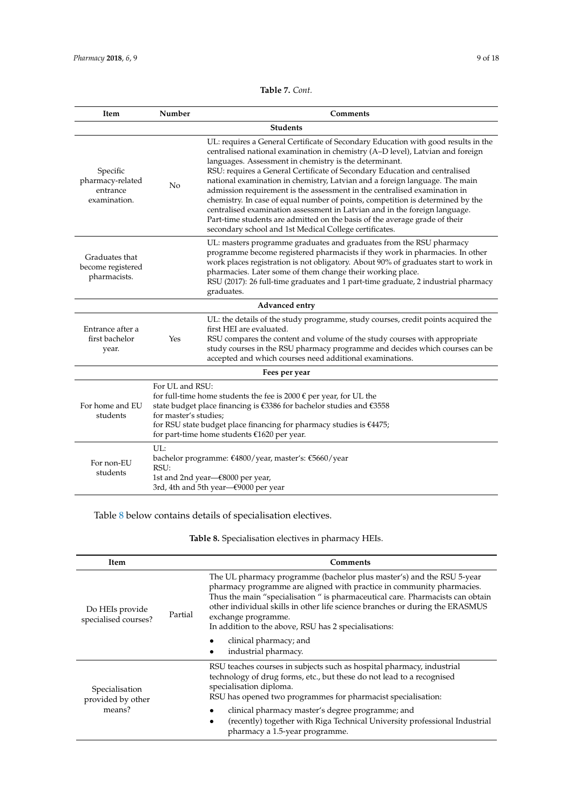**Table 7.** *Cont.*

<span id="page-8-0"></span>

| Item                                                     | Number                                                                                                                                                                                                                                                                                                                    | Comments                                                                                                                                                                                                                                                                                                                                                                                                                                                                                                                                                                                                                                                                                                                                                                         |  |  |  |
|----------------------------------------------------------|---------------------------------------------------------------------------------------------------------------------------------------------------------------------------------------------------------------------------------------------------------------------------------------------------------------------------|----------------------------------------------------------------------------------------------------------------------------------------------------------------------------------------------------------------------------------------------------------------------------------------------------------------------------------------------------------------------------------------------------------------------------------------------------------------------------------------------------------------------------------------------------------------------------------------------------------------------------------------------------------------------------------------------------------------------------------------------------------------------------------|--|--|--|
|                                                          |                                                                                                                                                                                                                                                                                                                           | <b>Students</b>                                                                                                                                                                                                                                                                                                                                                                                                                                                                                                                                                                                                                                                                                                                                                                  |  |  |  |
| Specific<br>pharmacy-related<br>entrance<br>examination. | No                                                                                                                                                                                                                                                                                                                        | UL: requires a General Certificate of Secondary Education with good results in the<br>centralised national examination in chemistry (A-D level), Latvian and foreign<br>languages. Assessment in chemistry is the determinant.<br>RSU: requires a General Certificate of Secondary Education and centralised<br>national examination in chemistry, Latvian and a foreign language. The main<br>admission requirement is the assessment in the centralised examination in<br>chemistry. In case of equal number of points, competition is determined by the<br>centralised examination assessment in Latvian and in the foreign language.<br>Part-time students are admitted on the basis of the average grade of their<br>secondary school and 1st Medical College certificates. |  |  |  |
| Graduates that<br>become registered<br>pharmacists.      |                                                                                                                                                                                                                                                                                                                           | UL: masters programme graduates and graduates from the RSU pharmacy<br>programme become registered pharmacists if they work in pharmacies. In other<br>work places registration is not obligatory. About 90% of graduates start to work in<br>pharmacies. Later some of them change their working place.<br>RSU (2017): 26 full-time graduates and 1 part-time graduate, 2 industrial pharmacy<br>graduates.                                                                                                                                                                                                                                                                                                                                                                     |  |  |  |
|                                                          |                                                                                                                                                                                                                                                                                                                           | Advanced entry                                                                                                                                                                                                                                                                                                                                                                                                                                                                                                                                                                                                                                                                                                                                                                   |  |  |  |
| Entrance after a<br>first bachelor<br>year.              | Yes                                                                                                                                                                                                                                                                                                                       | UL: the details of the study programme, study courses, credit points acquired the<br>first HEI are evaluated.<br>RSU compares the content and volume of the study courses with appropriate<br>study courses in the RSU pharmacy programme and decides which courses can be<br>accepted and which courses need additional examinations.                                                                                                                                                                                                                                                                                                                                                                                                                                           |  |  |  |
|                                                          | Fees per year                                                                                                                                                                                                                                                                                                             |                                                                                                                                                                                                                                                                                                                                                                                                                                                                                                                                                                                                                                                                                                                                                                                  |  |  |  |
| For home and EU<br>students                              | For UL and RSU:<br>for full-time home students the fee is 2000 $\epsilon$ per year, for UL the<br>state budget place financing is €3386 for bachelor studies and €3558<br>for master's studies:<br>for RSU state budget place financing for pharmacy studies is $€4475;$<br>for part-time home students $£1620$ per year. |                                                                                                                                                                                                                                                                                                                                                                                                                                                                                                                                                                                                                                                                                                                                                                                  |  |  |  |
| For non-EU<br>students                                   | UL:<br>bachelor programme: €4800/year, master's: €5660/year<br>RSU:<br>1st and 2nd year–€8000 per year,<br>3rd, 4th and 5th year–€9000 per year                                                                                                                                                                           |                                                                                                                                                                                                                                                                                                                                                                                                                                                                                                                                                                                                                                                                                                                                                                                  |  |  |  |

Table [8](#page-8-1) below contains details of specialisation electives.

# **Table 8.** Specialisation electives in pharmacy HEIs.

<span id="page-8-1"></span>

| Item                                          |         | Comments                                                                                                                                                                                                                                                                                                                                                                                       |  |  |  |
|-----------------------------------------------|---------|------------------------------------------------------------------------------------------------------------------------------------------------------------------------------------------------------------------------------------------------------------------------------------------------------------------------------------------------------------------------------------------------|--|--|--|
| Do HEIs provide<br>specialised courses?       | Partial | The UL pharmacy programme (bachelor plus master's) and the RSU 5-year<br>pharmacy programme are aligned with practice in community pharmacies.<br>Thus the main "specialisation" is pharmaceutical care. Pharmacists can obtain<br>other individual skills in other life science branches or during the ERASMUS<br>exchange programme.<br>In addition to the above, RSU has 2 specialisations: |  |  |  |
|                                               |         | clinical pharmacy; and<br>industrial pharmacy.                                                                                                                                                                                                                                                                                                                                                 |  |  |  |
| Specialisation<br>provided by other<br>means? |         | RSU teaches courses in subjects such as hospital pharmacy, industrial<br>technology of drug forms, etc., but these do not lead to a recognised<br>specialisation diploma.<br>RSU has opened two programmes for pharmacist specialisation:                                                                                                                                                      |  |  |  |
|                                               |         | clinical pharmacy master's degree programme; and<br>(recently) together with Riga Technical University professional Industrial<br>٠<br>pharmacy a 1.5-year programme.                                                                                                                                                                                                                          |  |  |  |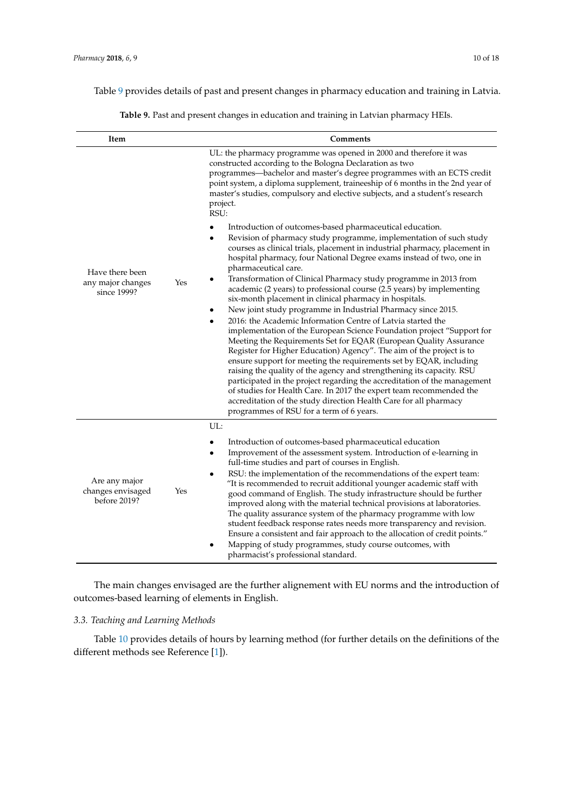<span id="page-9-0"></span>Table [9](#page-9-0) provides details of past and present changes in pharmacy education and training in Latvia.

**Table 9.** Past and present changes in education and training in Latvian pharmacy HEIs.

| Item                                               |                  | <b>Comments</b>                                                                                                                                                                                                                                                                                                                                                                                                                                                                                                                                                                                                                                                                                                                                                                                                                   |
|----------------------------------------------------|------------------|-----------------------------------------------------------------------------------------------------------------------------------------------------------------------------------------------------------------------------------------------------------------------------------------------------------------------------------------------------------------------------------------------------------------------------------------------------------------------------------------------------------------------------------------------------------------------------------------------------------------------------------------------------------------------------------------------------------------------------------------------------------------------------------------------------------------------------------|
|                                                    |                  | UL: the pharmacy programme was opened in 2000 and therefore it was<br>constructed according to the Bologna Declaration as two<br>programmes—bachelor and master's degree programmes with an ECTS credit<br>point system, a diploma supplement, traineeship of 6 months in the 2nd year of<br>master's studies, compulsory and elective subjects, and a student's research<br>project.<br>RSU:                                                                                                                                                                                                                                                                                                                                                                                                                                     |
| Have there been                                    |                  | Introduction of outcomes-based pharmaceutical education.<br>Revision of pharmacy study programme, implementation of such study<br>$\bullet$<br>courses as clinical trials, placement in industrial pharmacy, placement in<br>hospital pharmacy, four National Degree exams instead of two, one in<br>pharmaceutical care.                                                                                                                                                                                                                                                                                                                                                                                                                                                                                                         |
| any major changes<br>since 1999?                   | Yes<br>$\bullet$ | Transformation of Clinical Pharmacy study programme in 2013 from<br>academic (2 years) to professional course (2.5 years) by implementing<br>six-month placement in clinical pharmacy in hospitals.                                                                                                                                                                                                                                                                                                                                                                                                                                                                                                                                                                                                                               |
|                                                    |                  | New joint study programme in Industrial Pharmacy since 2015.<br>2016: the Academic Information Centre of Latvia started the<br>implementation of the European Science Foundation project "Support for<br>Meeting the Requirements Set for EQAR (European Quality Assurance<br>Register for Higher Education) Agency". The aim of the project is to<br>ensure support for meeting the requirements set by EQAR, including<br>raising the quality of the agency and strengthening its capacity. RSU<br>participated in the project regarding the accreditation of the management<br>of studies for Health Care. In 2017 the expert team recommended the<br>accreditation of the study direction Health Care for all pharmacy<br>programmes of RSU for a term of 6 years.                                                            |
|                                                    |                  | UL:                                                                                                                                                                                                                                                                                                                                                                                                                                                                                                                                                                                                                                                                                                                                                                                                                               |
| Are any major<br>changes envisaged<br>before 2019? | Yes              | Introduction of outcomes-based pharmaceutical education<br>$\bullet$<br>Improvement of the assessment system. Introduction of e-learning in<br>٠<br>full-time studies and part of courses in English.<br>RSU: the implementation of the recommendations of the expert team:<br>"It is recommended to recruit additional younger academic staff with<br>good command of English. The study infrastructure should be further<br>improved along with the material technical provisions at laboratories.<br>The quality assurance system of the pharmacy programme with low<br>student feedback response rates needs more transparency and revision.<br>Ensure a consistent and fair approach to the allocation of credit points."<br>Mapping of study programmes, study course outcomes, with<br>pharmacist's professional standard. |

The main changes envisaged are the further alignement with EU norms and the introduction of outcomes-based learning of elements in English.

## *3.3. Teaching and Learning Methods*

Table [10](#page-10-0) provides details of hours by learning method (for further details on the definitions of the different methods see Reference [\[1\]](#page-16-0)).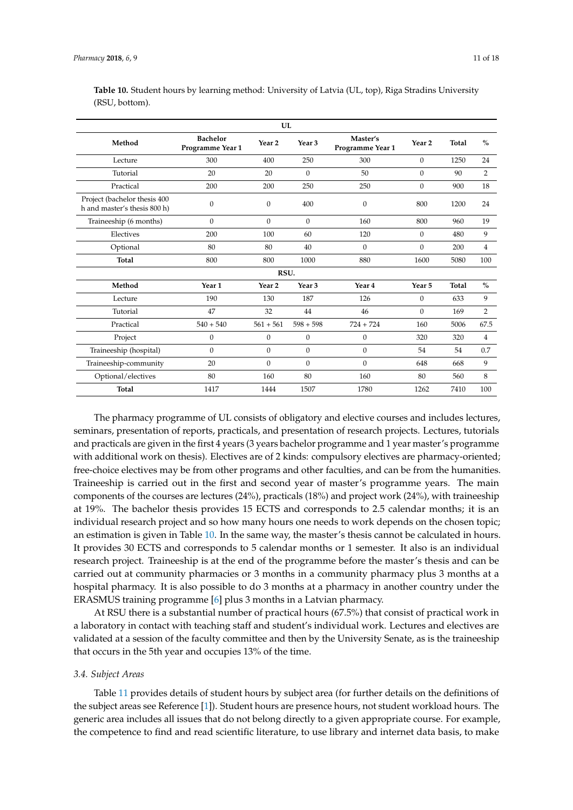| UL                                                           |                                     |                   |                   |                              |                   |              |                |
|--------------------------------------------------------------|-------------------------------------|-------------------|-------------------|------------------------------|-------------------|--------------|----------------|
| Method                                                       | <b>Bachelor</b><br>Programme Year 1 | Year <sub>2</sub> | Year <sub>3</sub> | Master's<br>Programme Year 1 | Year <sub>2</sub> | <b>Total</b> | $\frac{0}{0}$  |
| Lecture                                                      | 300                                 | 400               | 250               | 300                          | $\mathbf{0}$      | 1250         | 24             |
| Tutorial                                                     | 20                                  | 20                | $\overline{0}$    | 50                           | $\mathbf{0}$      | 90           | 2              |
| Practical                                                    | 200                                 | 200               | 250               | 250                          | $\mathbf{0}$      | 900          | 18             |
| Project (bachelor thesis 400<br>h and master's thesis 800 h) | 0                                   | $\mathbf{0}$      | 400               | $\mathbf{0}$                 | 800               | 1200         | 24             |
| Traineeship (6 months)                                       | $\boldsymbol{0}$                    | $\mathbf{0}$      | $\Omega$          | 160                          | 800               | 960          | 19             |
| Electives                                                    | 200                                 | 100               | 60                | 120                          | $\mathbf{0}$      | 480          | 9              |
| Optional                                                     | 80                                  | 80                | 40                | $\mathbf{0}$                 | $\mathbf{0}$      | 200          | $\overline{4}$ |
| <b>Total</b>                                                 | 800                                 | 800               | 1000              | 880                          | 1600              | 5080         | 100            |
|                                                              |                                     | RSU.              |                   |                              |                   |              |                |
| Method                                                       | Year 1                              | Year <sub>2</sub> | Year <sub>3</sub> | Year 4                       | Year 5            | <b>Total</b> | $\%$           |
| Lecture                                                      | 190                                 | 130               | 187               | 126                          | $\boldsymbol{0}$  | 633          | 9              |
| Tutorial                                                     | 47                                  | 32                | 44                | 46                           | $\Omega$          | 169          | 2              |
| Practical                                                    | $540 + 540$                         | $561 + 561$       | $598 + 598$       | $724 + 724$                  | 160               | 5006         | 67.5           |
| Project                                                      | 0                                   | $\mathbf{0}$      | $\overline{0}$    | $\mathbf{0}$                 | 320               | 320          | $\overline{4}$ |
| Traineeship (hospital)                                       | $\mathbf{0}$                        | $\mathbf{0}$      | $\mathbf{0}$      | $\mathbf{0}$                 | 54                | 54           | 0.7            |
| Traineeship-community                                        | 20                                  | $\mathbf{0}$      | $\overline{0}$    | $\Omega$                     | 648               | 668          | 9              |
| Optional/electives                                           | 80                                  | 160               | 80                | 160                          | 80                | 560          | 8              |
| <b>Total</b>                                                 | 1417                                | 1444              | 1507              | 1780                         | 1262              | 7410         | 100            |

<span id="page-10-0"></span>**Table 10.** Student hours by learning method: University of Latvia (UL, top), Riga Stradins University (RSU, bottom).

The pharmacy programme of UL consists of obligatory and elective courses and includes lectures, seminars, presentation of reports, practicals, and presentation of research projects. Lectures, tutorials and practicals are given in the first 4 years (3 years bachelor programme and 1 year master's programme with additional work on thesis). Electives are of 2 kinds: compulsory electives are pharmacy-oriented; free-choice electives may be from other programs and other faculties, and can be from the humanities. Traineeship is carried out in the first and second year of master's programme years. The main components of the courses are lectures (24%), practicals (18%) and project work (24%), with traineeship at 19%. The bachelor thesis provides 15 ECTS and corresponds to 2.5 calendar months; it is an individual research project and so how many hours one needs to work depends on the chosen topic; an estimation is given in Table [10.](#page-10-0) In the same way, the master's thesis cannot be calculated in hours. It provides 30 ECTS and corresponds to 5 calendar months or 1 semester. It also is an individual research project. Traineeship is at the end of the programme before the master's thesis and can be carried out at community pharmacies or 3 months in a community pharmacy plus 3 months at a hospital pharmacy. It is also possible to do 3 months at a pharmacy in another country under the ERASMUS training programme [\[6\]](#page-16-5) plus 3 months in a Latvian pharmacy.

At RSU there is a substantial number of practical hours (67.5%) that consist of practical work in a laboratory in contact with teaching staff and student's individual work. Lectures and electives are validated at a session of the faculty committee and then by the University Senate, as is the traineeship that occurs in the 5th year and occupies 13% of the time.

#### *3.4. Subject Areas*

Table [11](#page-11-0) provides details of student hours by subject area (for further details on the definitions of the subject areas see Reference [\[1\]](#page-16-0)). Student hours are presence hours, not student workload hours. The generic area includes all issues that do not belong directly to a given appropriate course. For example, the competence to find and read scientific literature, to use library and internet data basis, to make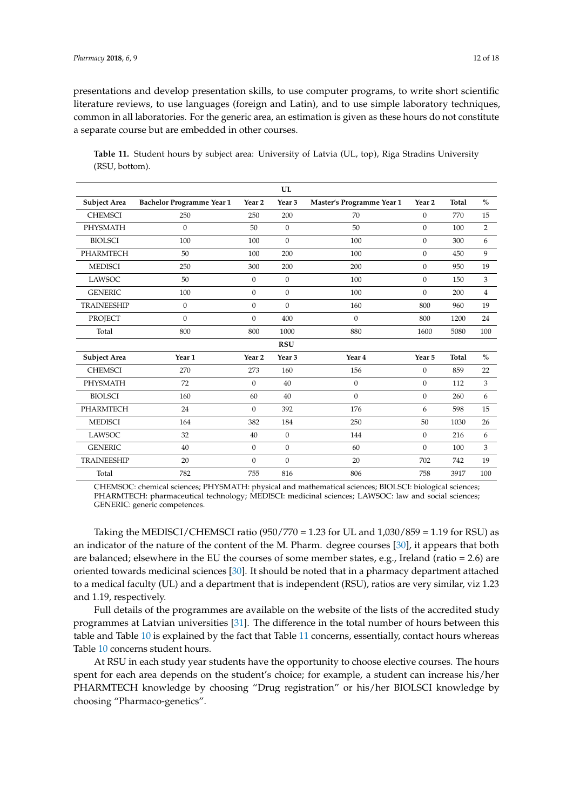presentations and develop presentation skills, to use computer programs, to write short scientific literature reviews, to use languages (foreign and Latin), and to use simple laboratory techniques, common in all laboratories. For the generic area, an estimation is given as these hours do not constitute a separate course but are embedded in other courses.

<span id="page-11-0"></span>**Table 11.** Student hours by subject area: University of Latvia (UL, top), Riga Stradins University (RSU, bottom).

|                     |                           |                   | UL                |                           |                   |              |                |
|---------------------|---------------------------|-------------------|-------------------|---------------------------|-------------------|--------------|----------------|
| <b>Subject Area</b> | Bachelor Programme Year 1 | Year <sub>2</sub> | Year <sub>3</sub> | Master's Programme Year 1 | Year <sub>2</sub> | <b>Total</b> | $\frac{0}{0}$  |
| <b>CHEMSCI</b>      | 250                       | 250               | 200               | 70                        | $\overline{0}$    | 770          | 15             |
| PHYSMATH            | $\mathbf{0}$              | 50                | $\mathbf{0}$      | 50                        | $\overline{0}$    | 100          | 2              |
| <b>BIOLSCI</b>      | 100                       | 100               | $\boldsymbol{0}$  | 100                       | $\mathbf{0}$      | 300          | 6              |
| <b>PHARMTECH</b>    | 50                        | 100               | 200               | 100                       | $\boldsymbol{0}$  | 450          | 9              |
| <b>MEDISCI</b>      | 250                       | 300               | 200               | 200                       | $\boldsymbol{0}$  | 950          | 19             |
| <b>LAWSOC</b>       | 50                        | $\boldsymbol{0}$  | $\boldsymbol{0}$  | 100                       | $\boldsymbol{0}$  | 150          | 3              |
| <b>GENERIC</b>      | 100                       | $\mathbf{0}$      | 0                 | 100                       | $\mathbf{0}$      | 200          | $\overline{4}$ |
| <b>TRAINEESHIP</b>  | $\mathbf{0}$              | $\mathbf{0}$      | $\overline{0}$    | 160                       | 800               | 960          | 19             |
| PROJECT             | $\mathbf{0}$              | $\mathbf{0}$      | 400               | $\mathbf{0}$              | 800               | 1200         | 24             |
| Total               | 800                       | 800               | 1000              | 880                       | 1600              | 5080         | 100            |
|                     |                           |                   | <b>RSU</b>        |                           |                   |              |                |
| <b>Subject Area</b> | Year <sub>1</sub>         | Year <sub>2</sub> | Year <sub>3</sub> | Year 4                    | Year 5            | <b>Total</b> | $\frac{0}{0}$  |
| <b>CHEMSCI</b>      | 270                       | 273               | 160               | 156                       | $\mathbf{0}$      | 859          | 22             |
| PHYSMATH            | 72                        | $\mathbf{0}$      | 40                | $\mathbf{0}$              | $\mathbf{0}$      | 112          | 3              |
| <b>BIOLSCI</b>      | 160                       | 60                | 40                | $\Omega$                  | $\boldsymbol{0}$  | 260          | 6              |
| PHARMTECH           | 24                        | $\mathbf{0}$      | 392               | 176                       | 6                 | 598          | 15             |
| <b>MEDISCI</b>      | 164                       | 382               | 184               | 250                       | 50                | 1030         | 26             |
| <b>LAWSOC</b>       | 32                        | 40                | $\mathbf{0}$      | 144                       | $\overline{0}$    | 216          | 6              |
| <b>GENERIC</b>      | 40                        | $\mathbf{0}$      | $\mathbf{0}$      | 60                        | $\mathbf{0}$      | 100          | 3              |
| TRAINEESHIP         | 20                        | $\mathbf{0}$      | $\boldsymbol{0}$  | 20                        | 702               | 742          | 19             |
| Total               | 782                       | 755               | 816               | 806                       | 758               | 3917         | 100            |

CHEMSOC: chemical sciences; PHYSMATH: physical and mathematical sciences; BIOLSCI: biological sciences; PHARMTECH: pharmaceutical technology; MEDISCI: medicinal sciences; LAWSOC: law and social sciences; GENERIC: generic competences.

Taking the MEDISCI/CHEMSCI ratio  $(950/770 = 1.23$  for UL and  $1,030/859 = 1.19$  for RSU) as an indicator of the nature of the content of the M. Pharm. degree courses [\[30\]](#page-17-2), it appears that both are balanced; elsewhere in the EU the courses of some member states, e.g., Ireland (ratio = 2.6) are oriented towards medicinal sciences [\[30\]](#page-17-2). It should be noted that in a pharmacy department attached to a medical faculty (UL) and a department that is independent (RSU), ratios are very similar, viz 1.23 and 1.19, respectively.

Full details of the programmes are available on the website of the lists of the accredited study programmes at Latvian universities [\[31\]](#page-17-3). The difference in the total number of hours between this table and Table [10](#page-10-0) is explained by the fact that Table [11](#page-11-0) concerns, essentially, contact hours whereas Table [10](#page-10-0) concerns student hours.

At RSU in each study year students have the opportunity to choose elective courses. The hours spent for each area depends on the student's choice; for example, a student can increase his/her PHARMTECH knowledge by choosing "Drug registration" or his/her BIOLSCI knowledge by choosing "Pharmaco-genetics".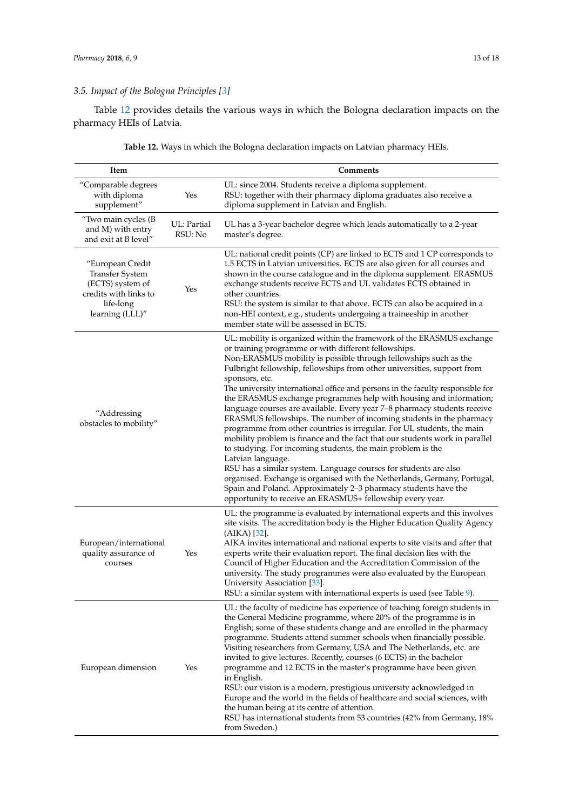# *3.5. Impact of the Bologna Principles [\[3\]](#page-16-2)*

Table [12](#page-13-0) provides details the various ways in which the Bologna declaration impacts on the pharmacy HEIs of Latvia.

| Item                                                                                                             |                        | Comments                                                                                                                                                                                                                                                                                                                                                                                                                                                                                                                                                                                                                                                                                                                                                                                                                                                                                                                                                                                                                                                                                                                                 |
|------------------------------------------------------------------------------------------------------------------|------------------------|------------------------------------------------------------------------------------------------------------------------------------------------------------------------------------------------------------------------------------------------------------------------------------------------------------------------------------------------------------------------------------------------------------------------------------------------------------------------------------------------------------------------------------------------------------------------------------------------------------------------------------------------------------------------------------------------------------------------------------------------------------------------------------------------------------------------------------------------------------------------------------------------------------------------------------------------------------------------------------------------------------------------------------------------------------------------------------------------------------------------------------------|
| "Comparable degrees<br>with diploma<br>supplement"                                                               | Yes                    | UL: since 2004. Students receive a diploma supplement.<br>RSU: together with their pharmacy diploma graduates also receive a<br>diploma supplement in Latvian and English.                                                                                                                                                                                                                                                                                                                                                                                                                                                                                                                                                                                                                                                                                                                                                                                                                                                                                                                                                               |
| "Two main cycles (B<br>and M) with entry<br>and exit at B level"                                                 | UL: Partial<br>RSU: No | UL has a 3-year bachelor degree which leads automatically to a 2-year<br>master's degree.                                                                                                                                                                                                                                                                                                                                                                                                                                                                                                                                                                                                                                                                                                                                                                                                                                                                                                                                                                                                                                                |
| "European Credit<br>Transfer System<br>(ECTS) system of<br>credits with links to<br>life-long<br>learning (LLL)" | Yes                    | UL: national credit points (CP) are linked to ECTS and 1 CP corresponds to<br>1.5 ECTS in Latvian universities. ECTS are also given for all courses and<br>shown in the course catalogue and in the diploma supplement. ERASMUS<br>exchange students receive ECTS and UL validates ECTS obtained in<br>other countries.<br>RSU: the system is similar to that above. ECTS can also be acquired in a<br>non-HEI context, e.g., students undergoing a traineeship in another<br>member state will be assessed in ECTS.                                                                                                                                                                                                                                                                                                                                                                                                                                                                                                                                                                                                                     |
| "Addressing<br>obstacles to mobility"                                                                            |                        | UL: mobility is organized within the framework of the ERASMUS exchange<br>or training programme or with different fellowships.<br>Non-ERASMUS mobility is possible through fellowships such as the<br>Fulbright fellowship, fellowships from other universities, support from<br>sponsors, etc.<br>The university international office and persons in the faculty responsible for<br>the ERASMUS exchange programmes help with housing and information;<br>language courses are available. Every year 7-8 pharmacy students receive<br>ERASMUS fellowships. The number of incoming students in the pharmacy<br>programme from other countries is irregular. For UL students, the main<br>mobility problem is finance and the fact that our students work in parallel<br>to studying. For incoming students, the main problem is the<br>Latvian language.<br>RSU has a similar system. Language courses for students are also<br>organised. Exchange is organised with the Netherlands, Germany, Portugal,<br>Spain and Poland. Approximately 2-3 pharmacy students have the<br>opportunity to receive an ERASMUS+ fellowship every year. |
| European/international<br>quality assurance of<br>courses                                                        | Yes                    | UL: the programme is evaluated by international experts and this involves<br>site visits. The accreditation body is the Higher Education Quality Agency<br>$(AIKA)$ [32].<br>AIKA invites international and national experts to site visits and after that<br>experts write their evaluation report. The final decision lies with the<br>Council of Higher Education and the Accreditation Commission of the<br>university. The study programmes were also evaluated by the European<br>University Association [33].<br>RSU: a similar system with international experts is used (see Table 9).                                                                                                                                                                                                                                                                                                                                                                                                                                                                                                                                          |
| European dimension                                                                                               | Yes                    | UL: the faculty of medicine has experience of teaching foreign students in<br>the General Medicine programme, where 20% of the programme is in<br>English; some of these students change and are enrolled in the pharmacy<br>programme. Students attend summer schools when financially possible.<br>Visiting researchers from Germany, USA and The Netherlands, etc. are<br>invited to give lectures. Recently, courses (6 ECTS) in the bachelor<br>programme and 12 ECTS in the master's programme have been given<br>in English.<br>RSU: our vision is a modern, prestigious university acknowledged in<br>Europe and the world in the fields of healthcare and social sciences, with<br>the human being at its centre of attention.<br>RSU has international students from 53 countries (42% from Germany, 18%<br>from Sweden.)                                                                                                                                                                                                                                                                                                      |

**Table 12.** Ways in which the Bologna declaration impacts on Latvian pharmacy HEIs.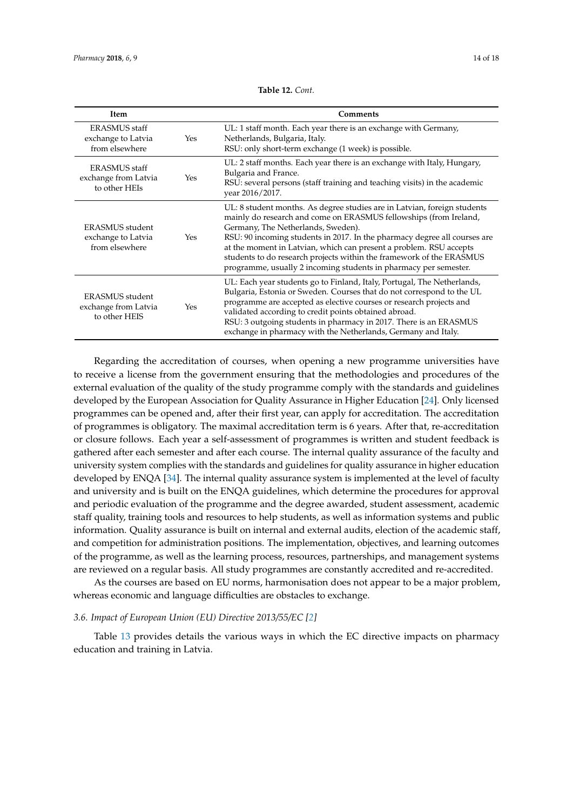<span id="page-13-0"></span>

| Item                                                          |     | Comments                                                                                                                                                                                                                                                                                                                                                                                                                                                                           |
|---------------------------------------------------------------|-----|------------------------------------------------------------------------------------------------------------------------------------------------------------------------------------------------------------------------------------------------------------------------------------------------------------------------------------------------------------------------------------------------------------------------------------------------------------------------------------|
| <b>ERASMUS</b> staff<br>exchange to Latvia<br>from elsewhere  | Yes | UL: 1 staff month. Each year there is an exchange with Germany,<br>Netherlands, Bulgaria, Italy.<br>RSU: only short-term exchange (1 week) is possible.                                                                                                                                                                                                                                                                                                                            |
| <b>ERASMUS</b> staff<br>exchange from Latvia<br>to other HEIs | Yes | UL: 2 staff months. Each year there is an exchange with Italy, Hungary,<br>Bulgaria and France.<br>RSU: several persons (staff training and teaching visits) in the academic<br>year 2016/2017.                                                                                                                                                                                                                                                                                    |
| ERASMUS student<br>exchange to Latvia<br>from elsewhere       | Yes | UL: 8 student months. As degree studies are in Latvian, foreign students<br>mainly do research and come on ERASMUS fellowships (from Ireland,<br>Germany, The Netherlands, Sweden).<br>RSU: 90 incoming students in 2017. In the pharmacy degree all courses are<br>at the moment in Latvian, which can present a problem. RSU accepts<br>students to do research projects within the framework of the ERASMUS<br>programme, usually 2 incoming students in pharmacy per semester. |
| ERASMUS student<br>exchange from Latvia<br>to other HEIS      | Yes | UL: Each year students go to Finland, Italy, Portugal, The Netherlands,<br>Bulgaria, Estonia or Sweden. Courses that do not correspond to the UL<br>programme are accepted as elective courses or research projects and<br>validated according to credit points obtained abroad.<br>RSU: 3 outgoing students in pharmacy in 2017. There is an ERASMUS<br>exchange in pharmacy with the Netherlands, Germany and Italy.                                                             |

**Table 12.** *Cont.*

Regarding the accreditation of courses, when opening a new programme universities have to receive a license from the government ensuring that the methodologies and procedures of the external evaluation of the quality of the study programme comply with the standards and guidelines developed by the European Association for Quality Assurance in Higher Education [\[24\]](#page-16-17). Only licensed programmes can be opened and, after their first year, can apply for accreditation. The accreditation of programmes is obligatory. The maximal accreditation term is 6 years. After that, re-accreditation or closure follows. Each year a self-assessment of programmes is written and student feedback is gathered after each semester and after each course. The internal quality assurance of the faculty and university system complies with the standards and guidelines for quality assurance in higher education developed by ENQA [\[34\]](#page-17-6). The internal quality assurance system is implemented at the level of faculty and university and is built on the ENQA guidelines, which determine the procedures for approval and periodic evaluation of the programme and the degree awarded, student assessment, academic staff quality, training tools and resources to help students, as well as information systems and public information. Quality assurance is built on internal and external audits, election of the academic staff, and competition for administration positions. The implementation, objectives, and learning outcomes of the programme, as well as the learning process, resources, partnerships, and management systems are reviewed on a regular basis. All study programmes are constantly accredited and re-accredited.

As the courses are based on EU norms, harmonisation does not appear to be a major problem, whereas economic and language difficulties are obstacles to exchange.

#### *3.6. Impact of European Union (EU) Directive 2013/55/EC [\[2\]](#page-16-1)*

Table [13](#page-14-0) provides details the various ways in which the EC directive impacts on pharmacy education and training in Latvia.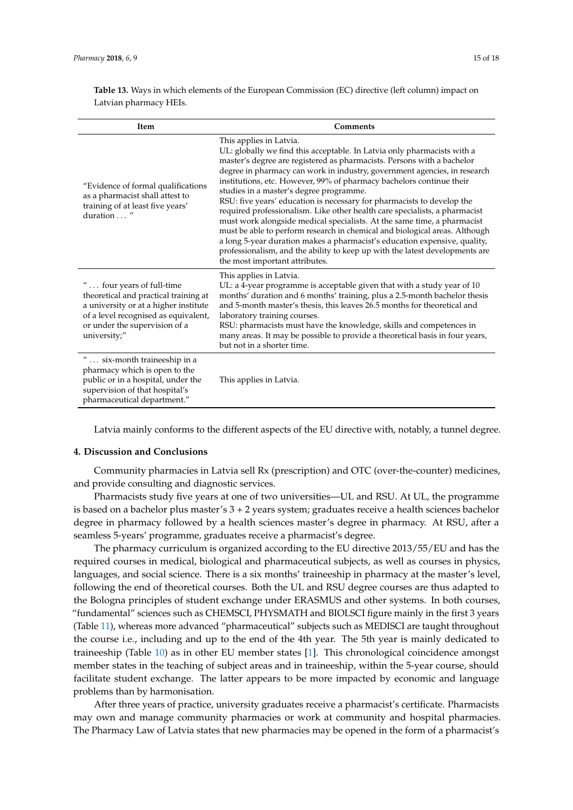<span id="page-14-0"></span>**Table 13.** Ways in which elements of the European Commission (EC) directive (left column) impact on Latvian pharmacy HEIs.

| Item                                                                                                                                                                                                 | Comments                                                                                                                                                                                                                                                                                                                                                                                                                                                                                                                                                                                                                                                                                                                                                                                                                                                                                      |
|------------------------------------------------------------------------------------------------------------------------------------------------------------------------------------------------------|-----------------------------------------------------------------------------------------------------------------------------------------------------------------------------------------------------------------------------------------------------------------------------------------------------------------------------------------------------------------------------------------------------------------------------------------------------------------------------------------------------------------------------------------------------------------------------------------------------------------------------------------------------------------------------------------------------------------------------------------------------------------------------------------------------------------------------------------------------------------------------------------------|
| "Evidence of formal qualifications<br>as a pharmacist shall attest to<br>training of at least five years'<br>duration  "                                                                             | This applies in Latvia.<br>UL: globally we find this acceptable. In Latvia only pharmacists with a<br>master's degree are registered as pharmacists. Persons with a bachelor<br>degree in pharmacy can work in industry, government agencies, in research<br>institutions, etc. However, 99% of pharmacy bachelors continue their<br>studies in a master's degree programme.<br>RSU: five years' education is necessary for pharmacists to develop the<br>required professionalism. Like other health care specialists, a pharmacist<br>must work alongside medical specialists. At the same time, a pharmacist<br>must be able to perform research in chemical and biological areas. Although<br>a long 5-year duration makes a pharmacist's education expensive, quality,<br>professionalism, and the ability to keep up with the latest developments are<br>the most important attributes. |
| " four years of full-time<br>theoretical and practical training at<br>a university or at a higher institute<br>of a level recognised as equivalent,<br>or under the supervision of a<br>university;" | This applies in Latvia.<br>UL: a 4-year programme is acceptable given that with a study year of 10<br>months' duration and 6 months' training, plus a 2.5-month bachelor thesis<br>and 5-month master's thesis, this leaves 26.5 months for theoretical and<br>laboratory training courses.<br>RSU: pharmacists must have the knowledge, skills and competences in<br>many areas. It may be possible to provide a theoretical basis in four years,<br>but not in a shorter time.                                                                                                                                                                                                                                                                                                                                                                                                              |
| $" \dots$ six-month traineeship in a<br>pharmacy which is open to the<br>public or in a hospital, under the<br>supervision of that hospital's<br>pharmaceutical department."                         | This applies in Latvia.                                                                                                                                                                                                                                                                                                                                                                                                                                                                                                                                                                                                                                                                                                                                                                                                                                                                       |

Latvia mainly conforms to the different aspects of the EU directive with, notably, a tunnel degree.

#### **4. Discussion and Conclusions**

Community pharmacies in Latvia sell Rx (prescription) and OTC (over-the-counter) medicines, and provide consulting and diagnostic services.

Pharmacists study five years at one of two universities—UL and RSU. At UL, the programme is based on a bachelor plus master's 3 + 2 years system; graduates receive a health sciences bachelor degree in pharmacy followed by a health sciences master's degree in pharmacy. At RSU, after a seamless 5-years' programme, graduates receive a pharmacist's degree.

The pharmacy curriculum is organized according to the EU directive 2013/55/EU and has the required courses in medical, biological and pharmaceutical subjects, as well as courses in physics, languages, and social science. There is a six months' traineeship in pharmacy at the master's level, following the end of theoretical courses. Both the UL and RSU degree courses are thus adapted to the Bologna principles of student exchange under ERASMUS and other systems. In both courses, "fundamental" sciences such as CHEMSCI, PHYSMATH and BIOLSCI figure mainly in the first 3 years (Table [11\)](#page-11-0), whereas more advanced "pharmaceutical" subjects such as MEDISCI are taught throughout the course i.e., including and up to the end of the 4th year. The 5th year is mainly dedicated to traineeship (Table [10\)](#page-10-0) as in other EU member states [\[1\]](#page-16-0). This chronological coincidence amongst member states in the teaching of subject areas and in traineeship, within the 5-year course, should facilitate student exchange. The latter appears to be more impacted by economic and language problems than by harmonisation.

After three years of practice, university graduates receive a pharmacist's certificate. Pharmacists may own and manage community pharmacies or work at community and hospital pharmacies. The Pharmacy Law of Latvia states that new pharmacies may be opened in the form of a pharmacist's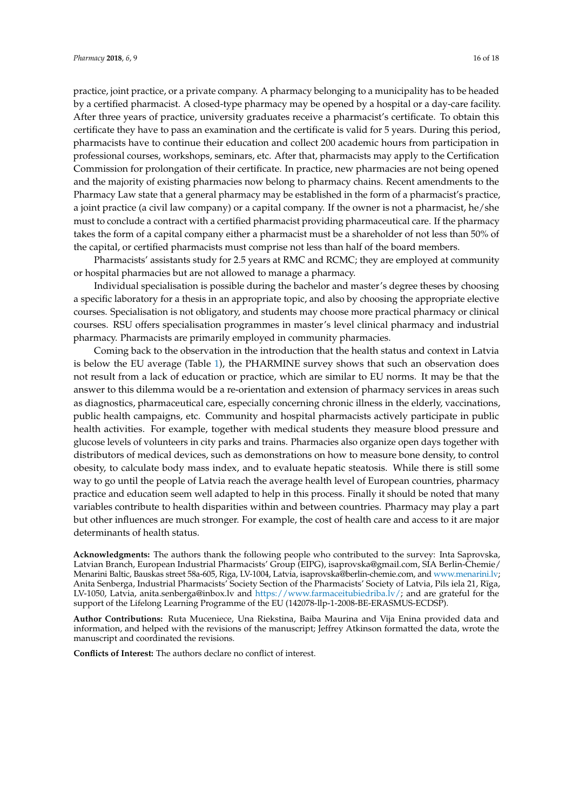practice, joint practice, or a private company. A pharmacy belonging to a municipality has to be headed by a certified pharmacist. A closed-type pharmacy may be opened by a hospital or a day-care facility. After three years of practice, university graduates receive a pharmacist's certificate. To obtain this certificate they have to pass an examination and the certificate is valid for 5 years. During this period, pharmacists have to continue their education and collect 200 academic hours from participation in professional courses, workshops, seminars, etc. After that, pharmacists may apply to the Certification Commission for prolongation of their certificate. In practice, new pharmacies are not being opened and the majority of existing pharmacies now belong to pharmacy chains. Recent amendments to the Pharmacy Law state that a general pharmacy may be established in the form of a pharmacist's practice, a joint practice (a civil law company) or a capital company. If the owner is not a pharmacist, he/she must to conclude a contract with a certified pharmacist providing pharmaceutical care. If the pharmacy takes the form of a capital company either a pharmacist must be a shareholder of not less than 50% of the capital, or certified pharmacists must comprise not less than half of the board members.

Pharmacists' assistants study for 2.5 years at RMC and RCMC; they are employed at community or hospital pharmacies but are not allowed to manage a pharmacy.

Individual specialisation is possible during the bachelor and master's degree theses by choosing a specific laboratory for a thesis in an appropriate topic, and also by choosing the appropriate elective courses. Specialisation is not obligatory, and students may choose more practical pharmacy or clinical courses. RSU offers specialisation programmes in master's level clinical pharmacy and industrial pharmacy. Pharmacists are primarily employed in community pharmacies.

Coming back to the observation in the introduction that the health status and context in Latvia is below the EU average (Table [1\)](#page-1-0), the PHARMINE survey shows that such an observation does not result from a lack of education or practice, which are similar to EU norms. It may be that the answer to this dilemma would be a re-orientation and extension of pharmacy services in areas such as diagnostics, pharmaceutical care, especially concerning chronic illness in the elderly, vaccinations, public health campaigns, etc. Community and hospital pharmacists actively participate in public health activities. For example, together with medical students they measure blood pressure and glucose levels of volunteers in city parks and trains. Pharmacies also organize open days together with distributors of medical devices, such as demonstrations on how to measure bone density, to control obesity, to calculate body mass index, and to evaluate hepatic steatosis. While there is still some way to go until the people of Latvia reach the average health level of European countries, pharmacy practice and education seem well adapted to help in this process. Finally it should be noted that many variables contribute to health disparities within and between countries. Pharmacy may play a part but other influences are much stronger. For example, the cost of health care and access to it are major determinants of health status.

**Acknowledgments:** The authors thank the following people who contributed to the survey: Inta Saprovska, Latvian Branch, European Industrial Pharmacists' Group (EIPG), isaprovska@gmail.com, SIA Berlin-Chemie/ Menarini Baltic, Bauskas street 58a-605, Riga, LV-1004, Latvia, isaprovska@berlin-chemie.com, and [www.menarini.lv;](www.menarini.lv) Anita Senberga, Industrial Pharmacists' Society Section of the Pharmacists' Society of Latvia, Pils iela 21, Rīga, LV-1050, Latvia, anita.senberga@inbox.lv and [https://www.farmaceitubiedriba.lv/;](https://www.farmaceitubiedriba.lv/) and are grateful for the support of the Lifelong Learning Programme of the EU (142078-llp-1-2008-BE-ERASMUS-ECDSP).

**Author Contributions:** Ruta Muceniece, Una Riekstina, Baiba Maurina and Vija Enina provided data and information, and helped with the revisions of the manuscript; Jeffrey Atkinson formatted the data, wrote the manuscript and coordinated the revisions.

**Conflicts of Interest:** The authors declare no conflict of interest.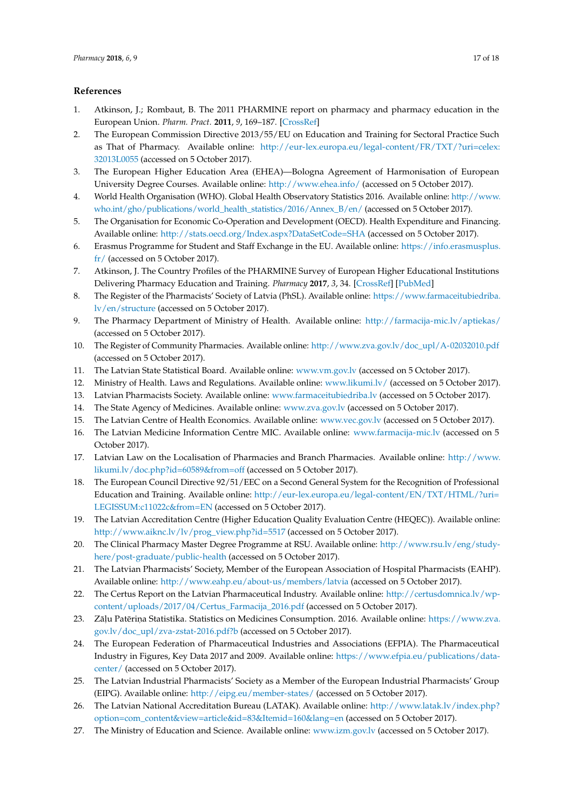# **References**

- <span id="page-16-0"></span>1. Atkinson, J.; Rombaut, B. The 2011 PHARMINE report on pharmacy and pharmacy education in the European Union. *Pharm. Pract.* **2011**, *9*, 169–187. [\[CrossRef\]](http://dx.doi.org/10.4321/S1886-36552011000400001)
- <span id="page-16-1"></span>2. The European Commission Directive 2013/55/EU on Education and Training for Sectoral Practice Such as That of Pharmacy. Available online: [http://eur-lex.europa.eu/legal-content/FR/TXT/?uri=celex:](http://eur-lex.europa.eu/legal-content/FR/TXT/?uri=celex:32013L0055) [32013L0055](http://eur-lex.europa.eu/legal-content/FR/TXT/?uri=celex:32013L0055) (accessed on 5 October 2017).
- <span id="page-16-2"></span>3. The European Higher Education Area (EHEA)—Bologna Agreement of Harmonisation of European University Degree Courses. Available online: <http://www.ehea.info/> (accessed on 5 October 2017).
- <span id="page-16-3"></span>4. World Health Organisation (WHO). Global Health Observatory Statistics 2016. Available online: [http://www.](http://www.who.int/gho/publications/world_health_statistics/2016/Annex_B/en/) [who.int/gho/publications/world\\_health\\_statistics/2016/Annex\\_B/en/](http://www.who.int/gho/publications/world_health_statistics/2016/Annex_B/en/) (accessed on 5 October 2017).
- <span id="page-16-4"></span>5. The Organisation for Economic Co-Operation and Development (OECD). Health Expenditure and Financing. Available online: <http://stats.oecd.org/Index.aspx?DataSetCode=SHA> (accessed on 5 October 2017).
- <span id="page-16-5"></span>6. Erasmus Programme for Student and Staff Exchange in the EU. Available online: [https://info.erasmusplus.](https://info.erasmusplus.fr/) [fr/](https://info.erasmusplus.fr/) (accessed on 5 October 2017).
- <span id="page-16-6"></span>7. Atkinson, J. The Country Profiles of the PHARMINE Survey of European Higher Educational Institutions Delivering Pharmacy Education and Training. *Pharmacy* **2017**, *3*, 34. [\[CrossRef\]](http://dx.doi.org/10.3390/pharmacy5030034) [\[PubMed\]](http://www.ncbi.nlm.nih.gov/pubmed/28970447)
- <span id="page-16-7"></span>8. The Register of the Pharmacists' Society of Latvia (PhSL). Available online: [https://www.farmaceitubiedriba.](https://www.farmaceitubiedriba.lv/en/structure) [lv/en/structure](https://www.farmaceitubiedriba.lv/en/structure) (accessed on 5 October 2017).
- 9. The Pharmacy Department of Ministry of Health. Available online: <http://farmacija-mic.lv/aptiekas/> (accessed on 5 October 2017).
- 10. The Register of Community Pharmacies. Available online: [http://www.zva.gov.lv/doc\\_upl/A-02032010.pdf](http://www.zva.gov.lv/doc_upl/A-02032010.pdf) (accessed on 5 October 2017).
- 11. The Latvian State Statistical Board. Available online: <www.vm.gov.lv> (accessed on 5 October 2017).
- <span id="page-16-9"></span>12. Ministry of Health. Laws and Regulations. Available online: <www.likumi.lv/> (accessed on 5 October 2017).
- <span id="page-16-18"></span>13. Latvian Pharmacists Society. Available online: <www.farmaceitubiedriba.lv> (accessed on 5 October 2017).
- <span id="page-16-15"></span>14. The State Agency of Medicines. Available online: <www.zva.gov.lv> (accessed on 5 October 2017).
- 15. The Latvian Centre of Health Economics. Available online: <www.vec.gov.lv> (accessed on 5 October 2017).
- 16. The Latvian Medicine Information Centre MIC. Available online: <www.farmacija-mic.lv> (accessed on 5 October 2017).
- <span id="page-16-8"></span>17. Latvian Law on the Localisation of Pharmacies and Branch Pharmacies. Available online: [http://www.](http://www.likumi.lv/doc.php?id=60589&from=off) likumi.ly/doc.php?id=60589&from=off (accessed on 5 October 2017).
- <span id="page-16-10"></span>18. The European Council Directive 92/51/EEC on a Second General System for the Recognition of Professional Education and Training. Available online: [http://eur-lex.europa.eu/legal-content/EN/TXT/HTML/?uri=](http://eur-lex.europa.eu/legal-content/EN/TXT/HTML/?uri=LEGISSUM:c11022c&from=EN) [LEGISSUM:c11022c&from=EN](http://eur-lex.europa.eu/legal-content/EN/TXT/HTML/?uri=LEGISSUM:c11022c&from=EN) (accessed on 5 October 2017).
- <span id="page-16-11"></span>19. The Latvian Accreditation Centre (Higher Education Quality Evaluation Centre (HEQEC)). Available online: [http://www.aiknc.lv/lv/prog\\_view.php?id=5517](http://www.aiknc.lv/lv/prog_view.php?id=5517) (accessed on 5 October 2017).
- <span id="page-16-12"></span>20. The Clinical Pharmacy Master Degree Programme at RSU. Available online: [http://www.rsu.lv/eng/study](http://www.rsu.lv/eng/study-here/post-graduate/public-health)[here/post-graduate/public-health](http://www.rsu.lv/eng/study-here/post-graduate/public-health) (accessed on 5 October 2017).
- <span id="page-16-13"></span>21. The Latvian Pharmacists' Society, Member of the European Association of Hospital Pharmacists (EAHP). Available online: <http://www.eahp.eu/about-us/members/latvia> (accessed on 5 October 2017).
- <span id="page-16-14"></span>22. The Certus Report on the Latvian Pharmaceutical Industry. Available online: [http://certusdomnica.lv/wp](http://certusdomnica.lv/wp-content/uploads/2017/04/Certus_Farmacija_2016.pdf)[content/uploads/2017/04/Certus\\_Farmacija\\_2016.pdf](http://certusdomnica.lv/wp-content/uploads/2017/04/Certus_Farmacija_2016.pdf) (accessed on 5 October 2017).
- <span id="page-16-16"></span>23. Zāļu Patēriņa Statistika. Statistics on Medicines Consumption. 2016. Available online: [https://www.zva.](https://www.zva.gov.lv/doc_upl/zva-zstat-2016.pdf?b) [gov.lv/doc\\_upl/zva-zstat-2016.pdf?b](https://www.zva.gov.lv/doc_upl/zva-zstat-2016.pdf?b) (accessed on 5 October 2017).
- <span id="page-16-17"></span>24. The European Federation of Pharmaceutical Industries and Associations (EFPIA). The Pharmaceutical Industry in Figures, Key Data 2017 and 2009. Available online: [https://www.efpia.eu/publications/data](https://www.efpia.eu/publications/data-center/)[center/](https://www.efpia.eu/publications/data-center/) (accessed on 5 October 2017).
- <span id="page-16-19"></span>25. The Latvian Industrial Pharmacists' Society as a Member of the European Industrial Pharmacists' Group (EIPG). Available online: <http://eipg.eu/member-states/> (accessed on 5 October 2017).
- <span id="page-16-20"></span>26. The Latvian National Accreditation Bureau (LATAK). Available online: [http://www.latak.lv/index.php?](http://www.latak.lv/index.php?option=com_content&view=article&id=83&Itemid=160&lang=en) [option=com\\_content&view=article&id=83&Itemid=160&lang=en](http://www.latak.lv/index.php?option=com_content&view=article&id=83&Itemid=160&lang=en) (accessed on 5 October 2017).
- <span id="page-16-21"></span>27. The Ministry of Education and Science. Available online: <www.izm.gov.lv> (accessed on 5 October 2017).